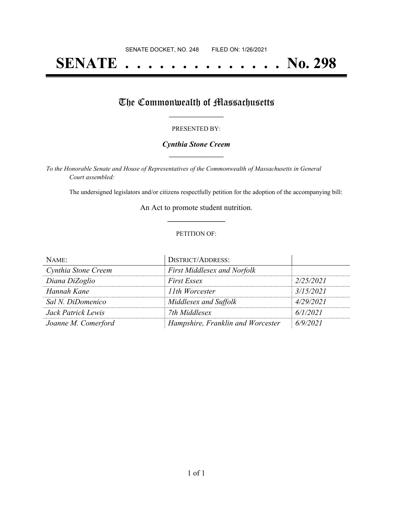# **SENATE . . . . . . . . . . . . . . No. 298**

# The Commonwealth of Massachusetts

#### PRESENTED BY:

### *Cynthia Stone Creem* **\_\_\_\_\_\_\_\_\_\_\_\_\_\_\_\_\_**

*To the Honorable Senate and House of Representatives of the Commonwealth of Massachusetts in General Court assembled:*

The undersigned legislators and/or citizens respectfully petition for the adoption of the accompanying bill:

An Act to promote student nutrition. **\_\_\_\_\_\_\_\_\_\_\_\_\_\_\_**

#### PETITION OF:

| NAME:               | <b>DISTRICT/ADDRESS:</b>           |           |
|---------------------|------------------------------------|-----------|
| Cynthia Stone Creem | <b>First Middlesex and Norfolk</b> |           |
| Diana DiZoglio      | <b>First Essex</b>                 | 2/25/2021 |
| Hannah Kane         | 11th Worcester                     | 3/15/2021 |
| Sal N. DiDomenico   | Middlesex and Suffolk              | 4/29/2021 |
| Jack Patrick Lewis  | 7th Middlesex                      | 6/1/2021  |
| Joanne M. Comerford | Hampshire, Franklin and Worcester  | 6/9/2021  |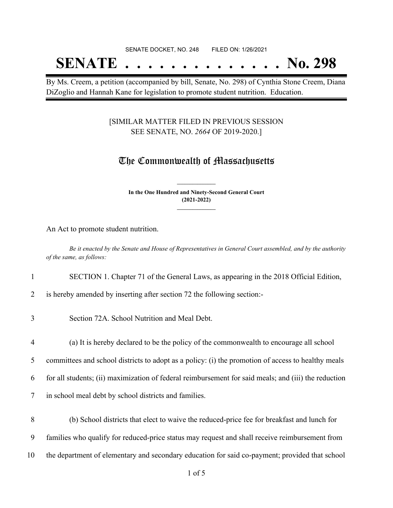# SENATE DOCKET, NO. 248 FILED ON: 1/26/2021 **SENATE . . . . . . . . . . . . . . No. 298**

By Ms. Creem, a petition (accompanied by bill, Senate, No. 298) of Cynthia Stone Creem, Diana DiZoglio and Hannah Kane for legislation to promote student nutrition. Education.

# [SIMILAR MATTER FILED IN PREVIOUS SESSION SEE SENATE, NO. *2664* OF 2019-2020.]

# The Commonwealth of Massachusetts

**In the One Hundred and Ninety-Second General Court (2021-2022) \_\_\_\_\_\_\_\_\_\_\_\_\_\_\_**

**\_\_\_\_\_\_\_\_\_\_\_\_\_\_\_**

An Act to promote student nutrition.

Be it enacted by the Senate and House of Representatives in General Court assembled, and by the authority *of the same, as follows:*

## 1 SECTION 1. Chapter 71 of the General Laws, as appearing in the 2018 Official Edition,

2 is hereby amended by inserting after section 72 the following section:-

- 3 Section 72A. School Nutrition and Meal Debt.
- 4 (a) It is hereby declared to be the policy of the commonwealth to encourage all school

5 committees and school districts to adopt as a policy: (i) the promotion of access to healthy meals

6 for all students; (ii) maximization of federal reimbursement for said meals; and (iii) the reduction

- 7 in school meal debt by school districts and families.
- 8 (b) School districts that elect to waive the reduced-price fee for breakfast and lunch for
- 9 families who qualify for reduced-price status may request and shall receive reimbursement from
- 10 the department of elementary and secondary education for said co-payment; provided that school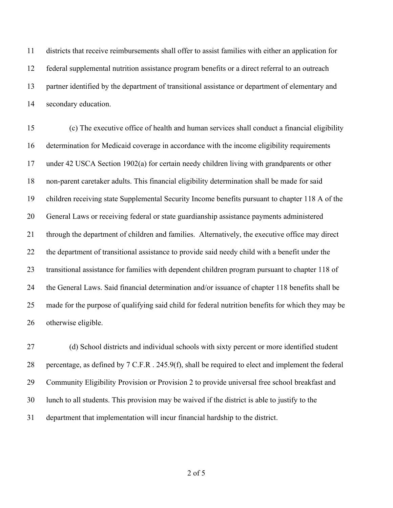districts that receive reimbursements shall offer to assist families with either an application for federal supplemental nutrition assistance program benefits or a direct referral to an outreach partner identified by the department of transitional assistance or department of elementary and secondary education.

 (c) The executive office of health and human services shall conduct a financial eligibility determination for Medicaid coverage in accordance with the income eligibility requirements under 42 USCA Section 1902(a) for certain needy children living with grandparents or other non-parent caretaker adults. This financial eligibility determination shall be made for said children receiving state Supplemental Security Income benefits pursuant to chapter 118 A of the General Laws or receiving federal or state guardianship assistance payments administered through the department of children and families. Alternatively, the executive office may direct the department of transitional assistance to provide said needy child with a benefit under the transitional assistance for families with dependent children program pursuant to chapter 118 of the General Laws. Said financial determination and/or issuance of chapter 118 benefits shall be made for the purpose of qualifying said child for federal nutrition benefits for which they may be otherwise eligible.

27 (d) School districts and individual schools with sixty percent or more identified student percentage, as defined by 7 C.F.R . 245.9(f), shall be required to elect and implement the federal Community Eligibility Provision or Provision 2 to provide universal free school breakfast and lunch to all students. This provision may be waived if the district is able to justify to the department that implementation will incur financial hardship to the district.

of 5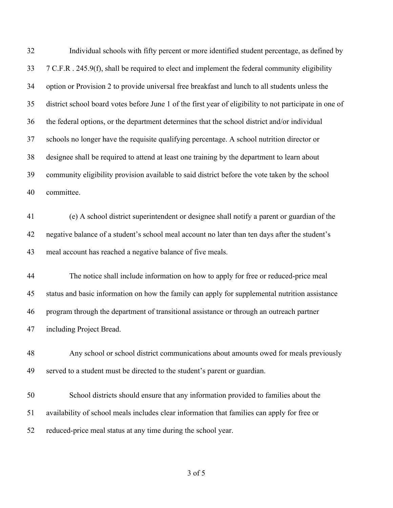Individual schools with fifty percent or more identified student percentage, as defined by 7 C.F.R . 245.9(f), shall be required to elect and implement the federal community eligibility option or Provision 2 to provide universal free breakfast and lunch to all students unless the district school board votes before June 1 of the first year of eligibility to not participate in one of the federal options, or the department determines that the school district and/or individual schools no longer have the requisite qualifying percentage. A school nutrition director or designee shall be required to attend at least one training by the department to learn about community eligibility provision available to said district before the vote taken by the school committee. (e) A school district superintendent or designee shall notify a parent or guardian of the negative balance of a student's school meal account no later than ten days after the student's meal account has reached a negative balance of five meals. The notice shall include information on how to apply for free or reduced-price meal status and basic information on how the family can apply for supplemental nutrition assistance program through the department of transitional assistance or through an outreach partner including Project Bread. Any school or school district communications about amounts owed for meals previously served to a student must be directed to the student's parent or guardian. School districts should ensure that any information provided to families about the availability of school meals includes clear information that families can apply for free or reduced-price meal status at any time during the school year.

of 5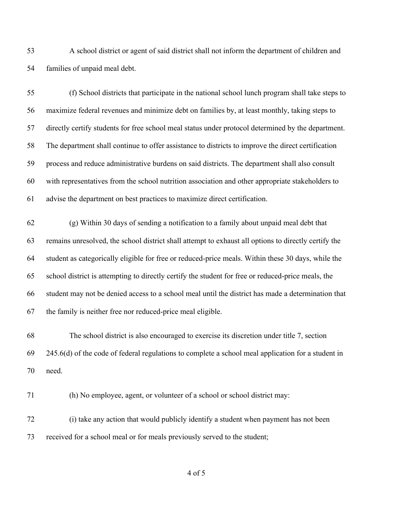A school district or agent of said district shall not inform the department of children and families of unpaid meal debt.

 (f) School districts that participate in the national school lunch program shall take steps to maximize federal revenues and minimize debt on families by, at least monthly, taking steps to directly certify students for free school meal status under protocol determined by the department. The department shall continue to offer assistance to districts to improve the direct certification process and reduce administrative burdens on said districts. The department shall also consult with representatives from the school nutrition association and other appropriate stakeholders to advise the department on best practices to maximize direct certification.

 (g) Within 30 days of sending a notification to a family about unpaid meal debt that remains unresolved, the school district shall attempt to exhaust all options to directly certify the student as categorically eligible for free or reduced-price meals. Within these 30 days, while the school district is attempting to directly certify the student for free or reduced-price meals, the student may not be denied access to a school meal until the district has made a determination that the family is neither free nor reduced-price meal eligible.

 The school district is also encouraged to exercise its discretion under title 7, section 245.6(d) of the code of federal regulations to complete a school meal application for a student in need.

(h) No employee, agent, or volunteer of a school or school district may:

 (i) take any action that would publicly identify a student when payment has not been received for a school meal or for meals previously served to the student;

of 5